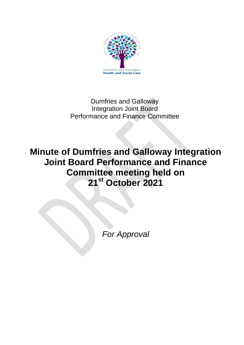

# Dumfries and Galloway Integration Joint Board Performance and Finance Committee

# **Minute of Dumfries and Galloway Integration Joint Board Performance and Finance Committee meeting held on 21st October 2021**

*For Approval*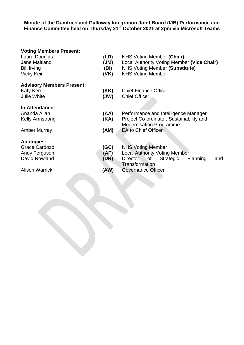#### **Minute of the Dumfries and Galloway Integration Joint Board (IJB) Performance and Finance Committee held on Thursday 21 st October 2021 at 2pm via Microsoft Teams**

#### **Voting Members Present:**

| Laura Douglas |        | NHS Voting Member (Chair)                      |
|---------------|--------|------------------------------------------------|
| Jona Maitland | / IRA\ | $\log_{10}$ Authority Voting Mombor Wine Chair |

- Jane Maitland **(JM)** Local Authority Voting Member **(Vice Chair)**
- Bill Irving **(BI)** NHS Voting Member **(Substitute)**

Modernisation Programme

 $\sim$ 

Performance and Intelligence Manager Project Co-ordinator, Sustainability and

Vicky Keir **(VK)** NHS Voting Member

#### **Advisory Members Present:**

#### Katy Kerr **(KK)** Chief Finance Officer Julie White **(JW)** Chief Officer

#### **In Attendance:**

| Ananda Allan    | (AA) |
|-----------------|------|
| Kelly Armstrong | (KA) |

Amber Murray **(AM)** EA to Chief Officer

# **Apologies:**

| Grace Cardozo         | (GC) | <b>NHS Voting Member</b>                    |  |
|-----------------------|------|---------------------------------------------|--|
| Andy Ferguson         | (AF) | <b>Local Authority Voting Member</b>        |  |
| David Rowland         | (DR) | and<br>Planning<br>of Strategic<br>Director |  |
|                       |      | Transformation                              |  |
| <b>Alison Warrick</b> | (AW) | <b>Governance Officer</b>                   |  |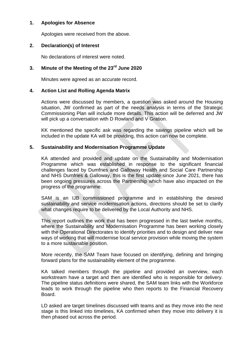# **1. Apologies for Absence**

Apologies were received from the above.

# **2. Declaration(s) of Interest**

No declarations of interest were noted.

# **3. Minute of the Meeting of the 23rd June 2020**

Minutes were agreed as an accurate record.

# **4. Action List and Rolling Agenda Matrix**

Actions were discussed by members, a question was asked around the Housing situation, JW confirmed as part of the needs analysis in terms of the Strategic Commissioning Plan will include more details. This action will be deferred and JW will pick up a conversation with D Rowland and V Gration.

KK mentioned the specific ask was regarding the savings pipeline which will be included in the update KA will be providing, this action can now be complete.

# **5. Sustainability and Modernisation Programme Update**

KA attended and provided and update on the Sustainability and Modernisation Programme which was established in response to the significant financial challenges faced by Dumfries and Galloway Health and Social Care Partnership and NHS Dumfries & Galloway, this is the first update since June 2021, there has been ongoing pressures across the Partnership which have also impacted on the progress of the programme.

SAM is an IJB commissioned programme and in establishing the desired sustainability and service modernisation actions, directions should be set to clarify what changes require to be delivered by the Local Authority and NHS.

This report outlines the work that has been progressed in the last twelve months, where the Sustainability and Modernisation Programme has been working closely with the Operational Directorates to identify priorities and to design and deliver new ways of working that will modernise local service provision while moving the system to a more sustainable position.

More recently, the SAM Team have focused on identifying, defining and bringing forward plans for the sustainability element of the programme.

KA talked members through the pipeline and provided an overview, each workstream have a target and then are identified who is responsible for delivery. The pipeline status definitions were shared, the SAM team links with the Workforce leads to work through the pipeline who then reports to the Financial Recovery Board.

LD asked are target timelines discussed with teams and as they move into the next stage is this linked into timelines, KA confirmed when they move into delivery it is then phased out across the period.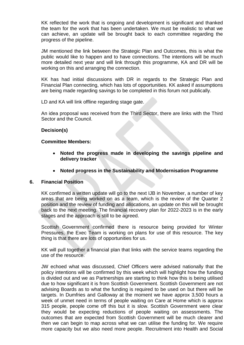KK reflected the work that is ongoing and development is significant and thanked the team for the work that has been undertaken. We must be realistic to what we can achieve, an update will be brought back to each committee regarding the progress of the pipeline.

JM mentioned the link between the Strategic Plan and Outcomes, this is what the public would like to happen and to have connections. The intentions will be much more detailed next year and will link through this programme, KA and DR will be working on this and arranging the connection.

KK has had initial discussions with DR in regards to the Strategic Plan and Financial Plan connecting, which has lots of opportunities. KK asked if assumptions are being made regarding savings to be completed in this forum not publically.

LD and KA will link offline regarding stage gate.

An idea proposal was received from the Third Sector, there are links with the Third Sector and the Council.

#### **Decision(s)**

#### **Committee Members:**

- **Noted the progress made in developing the savings pipeline and delivery tracker**
- **Noted progress in the Sustainability and Modernisation Programme**

#### **6. Financial Position**

KK confirmed a written update will go to the next IJB in November, a number of key areas that are being worked on as a team, which is the review of the Quarter 2 position and the review of funding and allocations, an update on this will be brought back to the next meeting. The financial recovery plan for 2022-2023 is in the early stages and the approach is still to be agreed.

Scottish Government confirmed there is resource being provided for Winter Pressures, the Exec Team is working on plans for use of this resource. The key thing is that there are lots of opportunities for us.

KK will pull together a financial plan that links with the service teams regarding the use of the resource.

JW echoed what was discussed, Chief Officers were advised nationally that the policy intentions will be confirmed by this week which will highlight how the funding is divided out and we as Partnerships are starting to think how this is being utilised due to how significant it is from Scottish Government. Scottish Government are not advising Boards as to what the funding is required to be used on but there will be targets. In Dumfries and Galloway at the moment we have approx 3,500 hours a week of unmet need in terms of people waiting on Care at Home which is approx 315 people, people come off this but it is slow. Scottish Government were clear they would be expecting reductions of people waiting on assessments. The outcomes that are expected from Scottish Government will be much clearer and then we can begin to map across what we can utilise the funding for. We require more capacity but we also need more people. Recruitment into Health and Social